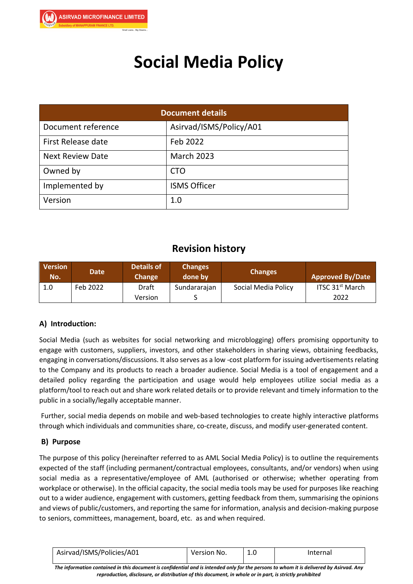

# **Social Media Policy**

| <b>Document details</b>   |                         |  |  |
|---------------------------|-------------------------|--|--|
| Document reference        | Asirvad/ISMS/Policy/A01 |  |  |
| <b>First Release date</b> | Feb 2022                |  |  |
| <b>Next Review Date</b>   | <b>March 2023</b>       |  |  |
| Owned by                  | <b>CTO</b>              |  |  |
| Implemented by            | <b>ISMS Officer</b>     |  |  |
| Version                   | 1.0                     |  |  |

## **Revision history**

| <b>Version</b><br>No. | <b>Date</b> | <b>Details of</b><br><b>Change</b> | <b>Changes</b><br>done by | <b>Changes</b>      | <b>Approved By/Date</b>     |
|-----------------------|-------------|------------------------------------|---------------------------|---------------------|-----------------------------|
| 1.0                   | Feb 2022    | Draft                              | Sundararajan              | Social Media Policy | ITSC 31 <sup>st</sup> March |
|                       |             | Version                            |                           |                     | 2022                        |

## **A) Introduction:**

Social Media (such as websites for social networking and microblogging) offers promising opportunity to engage with customers, suppliers, investors, and other stakeholders in sharing views, obtaining feedbacks, engaging in conversations/discussions. It also serves as a low -cost platform for issuing advertisements relating to the Company and its products to reach a broader audience. Social Media is a tool of engagement and a detailed policy regarding the participation and usage would help employees utilize social media as a platform/tool to reach out and share work related details or to provide relevant and timely information to the public in a socially/legally acceptable manner.

Further, social media depends on mobile and web-based technologies to create highly interactive platforms through which individuals and communities share, co-create, discuss, and modify user-generated content.

## **B) Purpose**

The purpose of this policy (hereinafter referred to as AML Social Media Policy) is to outline the requirements expected of the staff (including permanent/contractual employees, consultants, and/or vendors) when using social media as a representative/employee of AML (authorised or otherwise; whether operating from workplace or otherwise). In the official capacity, the social media tools may be used for purposes like reaching out to a wider audience, engagement with customers, getting feedback from them, summarising the opinions and views of public/customers, and reporting the same for information, analysis and decision-making purpose to seniors, committees, management, board, etc. as and when required.

| Asirvad/ISMS/Policies/A01 | Version No. | T.N | Internal |
|---------------------------|-------------|-----|----------|
|---------------------------|-------------|-----|----------|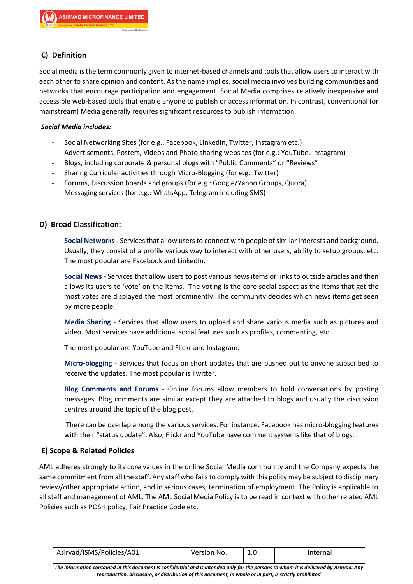## **C) Definition**

Social media is the term commonly given to internet-based channels and tools that allow users to interact with each other to share opinion and content. As the name implies, social media involves building communities and networks that encourage participation and engagement. Social Media comprises relatively inexpensive and accessible web-based tools that enable anyone to publish or access information. In contrast, conventional (or mainstream) Media generally requires significant resources to publish information.

#### *Social Media includes:*

- Social Networking Sites (for e.g., Facebook, LinkedIn, Twitter, Instagram etc.)
- Advertisements, Posters, Videos and Photo sharing websites (for e.g.: YouTube, Instagram)
- Blogs, including corporate & personal blogs with "Public Comments" or "Reviews"
- Sharing Curricular activities through Micro-Blogging (for e.g.: Twitter)
- Forums, Discussion boards and groups (for e.g.: Google/Yahoo Groups, Quora)
- Messaging services (for e.g.: WhatsApp, Telegram including SMS)

#### **D) Broad Classification:**

**Social Networks-** Services that allow users to connect with people of similar interests and background. Usually, they consist of a profile various way to interact with other users, ability to setup groups, etc. The most popular are Facebook and LinkedIn.

**Social News -** Services that allow users to post various news items or links to outside articles and then allows its users to 'vote' on the items. The voting is the core social aspect as the items that get the most votes are displayed the most prominently. The community decides which news items get seen by more people.

**Media Sharing** - Services that allow users to upload and share various media such as pictures and video. Most services have additional social features such as profiles, commenting, etc.

The most popular are YouTube and Flickr and Instagram.

**Micro-blogging** - Services that focus on short updates that are pushed out to anyone subscribed to receive the updates. The most popular is Twitter.

**Blog Comments and Forums** - Online forums allow members to hold conversations by posting messages. Blog comments are similar except they are attached to blogs and usually the discussion centres around the topic of the blog post.

There can be overlap among the various services. For instance, Facebook has micro-blogging features with their "status update". Also, Flickr and YouTube have comment systems like that of blogs.

#### **E) Scope & Related Policies**

AML adheres strongly to its core values in the online Social Media community and the Company expects the same commitment from all the staff. Any staff who fails to comply with this policy may be subject to disciplinary review/other appropriate action, and in serious cases, termination of employment. The Policy is applicable to all staff and management of AML. The AML Social Media Policy is to be read in context with other related AML Policies such as POSH policy, Fair Practice Code etc.

| Asirvad/ISMS/Policies/A01 | Version No. | Internal |
|---------------------------|-------------|----------|
|                           |             |          |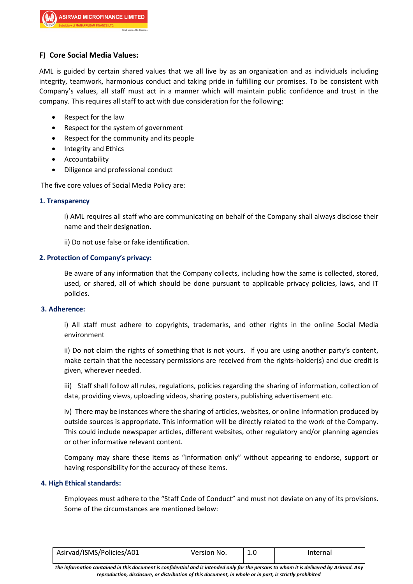## **F) Core Social Media Values:**

AML is guided by certain shared values that we all live by as an organization and as individuals including integrity, teamwork, harmonious conduct and taking pride in fulfilling our promises. To be consistent with Company's values, all staff must act in a manner which will maintain public confidence and trust in the company. This requires all staff to act with due consideration for the following:

- Respect for the law
- Respect for the system of government
- Respect for the community and its people
- Integrity and Ethics
- Accountability
- Diligence and professional conduct

The five core values of Social Media Policy are:

#### **1. Transparency**

i) AML requires all staff who are communicating on behalf of the Company shall always disclose their name and their designation.

ii) Do not use false or fake identification.

#### **2. Protection of Company's privacy:**

Be aware of any information that the Company collects, including how the same is collected, stored, used, or shared, all of which should be done pursuant to applicable privacy policies, laws, and IT policies.

#### **3. Adherence:**

i) All staff must adhere to copyrights, trademarks, and other rights in the online Social Media environment

ii) Do not claim the rights of something that is not yours. If you are using another party's content, make certain that the necessary permissions are received from the rights-holder(s) and due credit is given, wherever needed.

iii) Staff shall follow all rules, regulations, policies regarding the sharing of information, collection of data, providing views, uploading videos, sharing posters, publishing advertisement etc.

iv) There may be instances where the sharing of articles, websites, or online information produced by outside sources is appropriate. This information will be directly related to the work of the Company. This could include newspaper articles, different websites, other regulatory and/or planning agencies or other informative relevant content.

Company may share these items as "information only" without appearing to endorse, support or having responsibility for the accuracy of these items.

#### **4. High Ethical standards:**

Employees must adhere to the "Staff Code of Conduct" and must not deviate on any of its provisions. Some of the circumstances are mentioned below:

| Asirvad/ISMS/Policies/A01 | Version No. | Internal |
|---------------------------|-------------|----------|
|                           |             |          |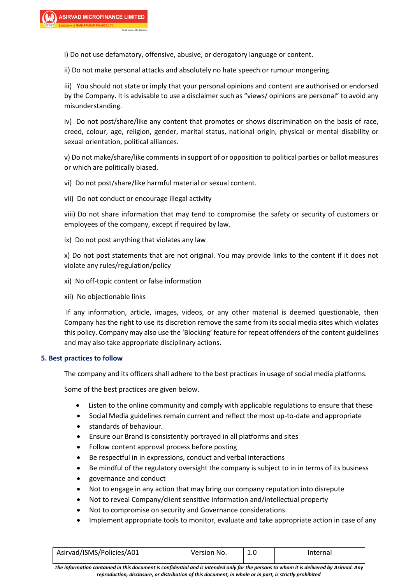i) Do not use defamatory, offensive, abusive, or derogatory language or content.

ii) Do not make personal attacks and absolutely no hate speech or rumour mongering.

iii) You should not state or imply that your personal opinions and content are authorised or endorsed by the Company. It is advisable to use a disclaimer such as "views/ opinions are personal" to avoid any misunderstanding.

iv) Do not post/share/like any content that promotes or shows discrimination on the basis of race, creed, colour, age, religion, gender, marital status, national origin, physical or mental disability or sexual orientation, political alliances.

v) Do not make/share/like comments in support of or opposition to political parties or ballot measures or which are politically biased.

vi) Do not post/share/like harmful material or sexual content.

vii) Do not conduct or encourage illegal activity

viii) Do not share information that may tend to compromise the safety or security of customers or employees of the company, except if required by law.

ix) Do not post anything that violates any law

x) Do not post statements that are not original. You may provide links to the content if it does not violate any rules/regulation/policy

- xi) No off-topic content or false information
- xii) No objectionable links

If any information, article, images, videos, or any other material is deemed questionable, then Company has the right to use its discretion remove the same from its social media sites which violates this policy. Company may also use the 'Blocking' feature for repeat offenders of the content guidelines and may also take appropriate disciplinary actions.

#### **5. Best practices to follow**

The company and its officers shall adhere to the best practices in usage of social media platforms.

Some of the best practices are given below.

- Listen to the online community and comply with applicable regulations to ensure that these
- Social Media guidelines remain current and reflect the most up-to-date and appropriate
- standards of behaviour.
- Ensure our Brand is consistently portrayed in all platforms and sites
- Follow content approval process before posting
- Be respectful in in expressions, conduct and verbal interactions
- Be mindful of the regulatory oversight the company is subject to in in terms of its business
- governance and conduct
- Not to engage in any action that may bring our company reputation into disrepute
- Not to reveal Company/client sensitive information and/intellectual property
- Not to compromise on security and Governance considerations.
- Implement appropriate tools to monitor, evaluate and take appropriate action in case of any

| Asirvad/ISMS/Policies/A01<br>Version No. | Internal |  |
|------------------------------------------|----------|--|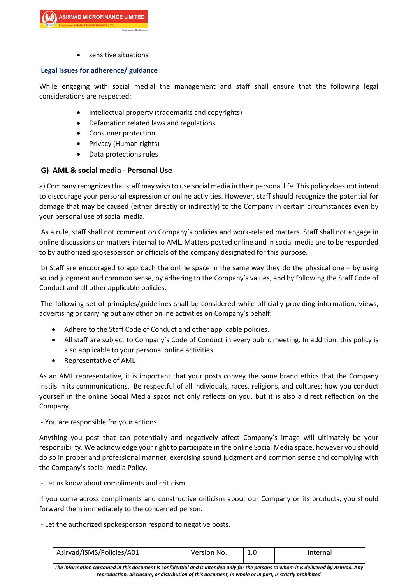**SIRVAD MICROFINANCE LIMITED** 

sensitive situations

#### **Legal issues for adherence/ guidance**

While engaging with social medial the management and staff shall ensure that the following legal considerations are respected:

- Intellectual property (trademarks and copyrights)
- Defamation related laws and regulations
- Consumer protection
- Privacy (Human rights)
- Data protections rules

#### **G) AML & social media - Personal Use**

a) Company recognizes that staff may wish to use social media in their personal life. This policy does not intend to discourage your personal expression or online activities. However, staff should recognize the potential for damage that may be caused (either directly or indirectly) to the Company in certain circumstances even by your personal use of social media.

As a rule, staff shall not comment on Company's policies and work-related matters. Staff shall not engage in online discussions on matters internal to AML. Matters posted online and in social media are to be responded to by authorized spokesperson or officials of the company designated for this purpose.

b) Staff are encouraged to approach the online space in the same way they do the physical one – by using sound judgment and common sense, by adhering to the Company's values, and by following the Staff Code of Conduct and all other applicable policies.

The following set of principles/guidelines shall be considered while officially providing information, views, advertising or carrying out any other online activities on Company's behalf:

- Adhere to the Staff Code of Conduct and other applicable policies.
- All staff are subject to Company's Code of Conduct in every public meeting. In addition, this policy is also applicable to your personal online activities.
- Representative of AML

As an AML representative, it is important that your posts convey the same brand ethics that the Company instils in its communications. Be respectful of all individuals, races, religions, and cultures; how you conduct yourself in the online Social Media space not only reflects on you, but it is also a direct reflection on the Company.

- You are responsible for your actions.

Anything you post that can potentially and negatively affect Company's image will ultimately be your responsibility. We acknowledge your right to participate in the online Social Media space, however you should do so in proper and professional manner, exercising sound judgment and common sense and complying with the Company's social media Policy.

- Let us know about compliments and criticism.

If you come across compliments and constructive criticism about our Company or its products, you should forward them immediately to the concerned person.

- Let the authorized spokesperson respond to negative posts.

| Asirvad/ISMS/Policies/A01 | $^{\circ}$ Version No. | Internal |
|---------------------------|------------------------|----------|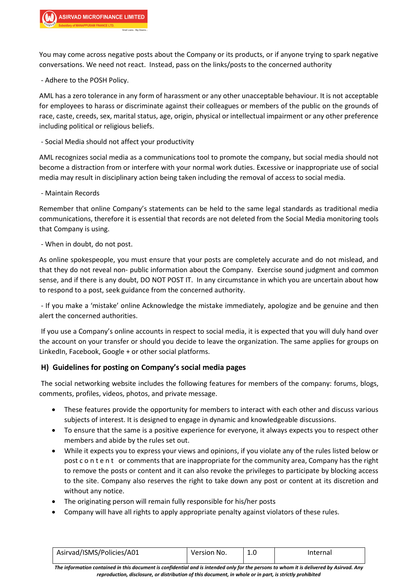You may come across negative posts about the Company or its products, or if anyone trying to spark negative conversations. We need not react. Instead, pass on the links/posts to the concerned authority

- Adhere to the POSH Policy.

AML has a zero tolerance in any form of harassment or any other unacceptable behaviour. It is not acceptable for employees to harass or discriminate against their colleagues or members of the public on the grounds of race, caste, creeds, sex, marital status, age, origin, physical or intellectual impairment or any other preference including political or religious beliefs.

- Social Media should not affect your productivity

AML recognizes social media as a communications tool to promote the company, but social media should not become a distraction from or interfere with your normal work duties. Excessive or inappropriate use of social media may result in disciplinary action being taken including the removal of access to social media.

- Maintain Records

Remember that online Company's statements can be held to the same legal standards as traditional media communications, therefore it is essential that records are not deleted from the Social Media monitoring tools that Company is using.

- When in doubt, do not post.

As online spokespeople, you must ensure that your posts are completely accurate and do not mislead, and that they do not reveal non- public information about the Company. Exercise sound judgment and common sense, and if there is any doubt, DO NOT POST IT. In any circumstance in which you are uncertain about how to respond to a post, seek guidance from the concerned authority.

- If you make a 'mistake' online Acknowledge the mistake immediately, apologize and be genuine and then alert the concerned authorities.

If you use a Company's online accounts in respect to social media, it is expected that you will duly hand over the account on your transfer or should you decide to leave the organization. The same applies for groups on LinkedIn, Facebook, Google + or other social platforms.

#### **H) Guidelines for posting on Company's social media pages**

The social networking website includes the following features for members of the company: forums, blogs, comments, profiles, videos, photos, and private message.

- These features provide the opportunity for members to interact with each other and discuss various subjects of interest. It is designed to engage in dynamic and knowledgeable discussions.
- To ensure that the same is a positive experience for everyone, it always expects you to respect other members and abide by the rules set out.
- While it expects you to express your views and opinions, if you violate any of the rules listed below or post c o n t e n t or comments that are inappropriate for the community area, Company has the right to remove the posts or content and it can also revoke the privileges to participate by blocking access to the site. Company also reserves the right to take down any post or content at its discretion and without any notice.
- The originating person will remain fully responsible for his/her posts
- Company will have all rights to apply appropriate penalty against violators of these rules.

| Asirvad/ISMS/Policies/A01 | $^{\circ}$ Version No. | Internal |
|---------------------------|------------------------|----------|
|                           |                        |          |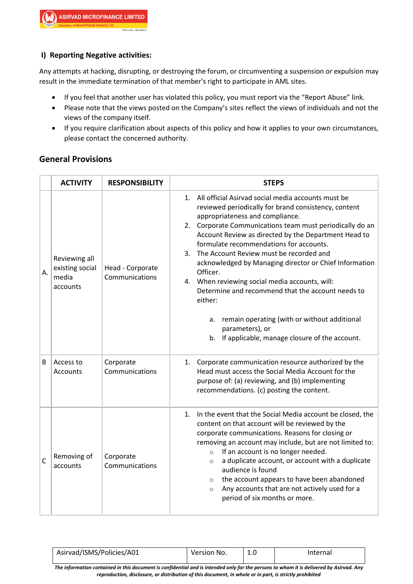## **I) Reporting Negative activities:**

Any attempts at hacking, disrupting, or destroying the forum, or circumventing a suspension or expulsion may result in the immediate termination of that member's right to participate in AML sites.

- If you feel that another user has violated this policy, you must report via the "Report Abuse" link.
- Please note that the views posted on the Company's sites reflect the views of individuals and not the views of the company itself.
- If you require clarification about aspects of this policy and how it applies to your own circumstances, please contact the concerned authority.

## **General Provisions**

|              | <b>ACTIVITY</b>                                       | <b>RESPONSIBILITY</b>              | <b>STEPS</b>                                                                                                                                                                                                                                                                                                                                                                                                                                                                                                                                                                                                                                                                                     |  |  |  |
|--------------|-------------------------------------------------------|------------------------------------|--------------------------------------------------------------------------------------------------------------------------------------------------------------------------------------------------------------------------------------------------------------------------------------------------------------------------------------------------------------------------------------------------------------------------------------------------------------------------------------------------------------------------------------------------------------------------------------------------------------------------------------------------------------------------------------------------|--|--|--|
| Α.           | Reviewing all<br>existing social<br>media<br>accounts | Head - Corporate<br>Communications | All official Asirvad social media accounts must be<br>1.<br>reviewed periodically for brand consistency, content<br>appropriateness and compliance.<br>2. Corporate Communications team must periodically do an<br>Account Review as directed by the Department Head to<br>formulate recommendations for accounts.<br>The Account Review must be recorded and<br>$3_{-}$<br>acknowledged by Managing director or Chief Information<br>Officer.<br>4. When reviewing social media accounts, will:<br>Determine and recommend that the account needs to<br>either:<br>remain operating (with or without additional<br>a.<br>parameters), or<br>If applicable, manage closure of the account.<br>b. |  |  |  |
| B            | Access to<br>Accounts                                 | Corporate<br>Communications        | 1. Corporate communication resource authorized by the<br>Head must access the Social Media Account for the<br>purpose of: (a) reviewing, and (b) implementing<br>recommendations. (c) posting the content.                                                                                                                                                                                                                                                                                                                                                                                                                                                                                       |  |  |  |
| $\mathsf{C}$ | Removing of<br>accounts                               | Corporate<br>Communications        | In the event that the Social Media account be closed, the<br>1.<br>content on that account will be reviewed by the<br>corporate communications. Reasons for closing or<br>removing an account may include, but are not limited to:<br>If an account is no longer needed.<br>$\circ$<br>a duplicate account, or account with a duplicate<br>$\circ$<br>audience is found<br>the account appears to have been abandoned<br>$\circ$<br>Any accounts that are not actively used for a<br>$\circ$<br>period of six months or more.                                                                                                                                                                    |  |  |  |

| Asirvad/ISMS/Policies/A01 | Version No. | 1.0 | Internal |
|---------------------------|-------------|-----|----------|
| .                         |             |     |          |